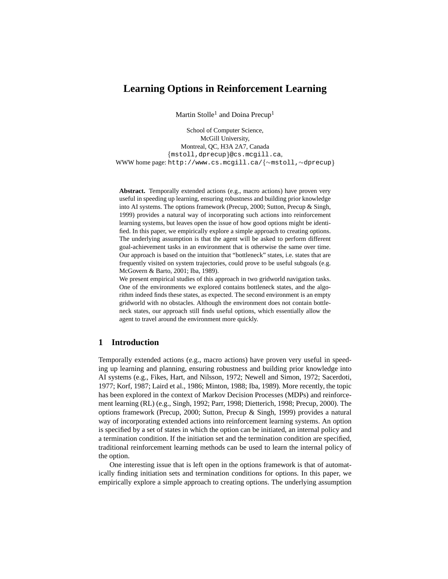# **Learning Options in Reinforcement Learning**

Martin Stolle<sup>1</sup> and Doina Precup<sup>1</sup>

School of Computer Science, McGill University, Montreal, QC, H3A 2A7, Canada mstoll,dprecup @cs.mcgill.ca, WWW home page: http://www.cs.mcgill.ca/{~mstoll,~dprecup}

**Abstract.** Temporally extended actions (e.g., macro actions) have proven very useful in speeding up learning, ensuring robustness and building prior knowledge into AI systems. The options framework (Precup, 2000; Sutton, Precup & Singh, 1999) provides a natural way of incorporating such actions into reinforcement learning systems, but leaves open the issue of how good options might be identified. In this paper, we empirically explore a simple approach to creating options. The underlying assumption is that the agent will be asked to perform different goal-achievement tasks in an environment that is otherwise the same over time. Our approach is based on the intuition that "bottleneck" states, i.e. states that are frequently visited on system trajectories, could prove to be useful subgoals (e.g. McGovern & Barto, 2001; Iba, 1989).

We present empirical studies of this approach in two gridworld navigation tasks. One of the environments we explored contains bottleneck states, and the algorithm indeed finds these states, as expected. The second environment is an empty gridworld with no obstacles. Although the environment does not contain bottleneck states, our approach still finds useful options, which essentially allow the agent to travel around the environment more quickly.

# **1 Introduction**

Temporally extended actions (e.g., macro actions) have proven very useful in speeding up learning and planning, ensuring robustness and building prior knowledge into AI systems (e.g., Fikes, Hart, and Nilsson, 1972; Newell and Simon, 1972; Sacerdoti, 1977; Korf, 1987; Laird et al., 1986; Minton, 1988; Iba, 1989). More recently, the topic has been explored in the context of Markov Decision Processes (MDPs) and reinforcement learning (RL) (e.g., Singh, 1992; Parr, 1998; Dietterich, 1998; Precup, 2000). The options framework (Precup, 2000; Sutton, Precup & Singh, 1999) provides a natural way of incorporating extended actions into reinforcement learning systems. An option is specified by a set of states in which the option can be initiated, an internal policy and a termination condition. If the initiation set and the termination condition are specified, traditional reinforcement learning methods can be used to learn the internal policy of the option.

One interesting issue that is left open in the options framework is that of automatically finding initiation sets and termination conditions for options. In this paper, we empirically explore a simple approach to creating options. The underlying assumption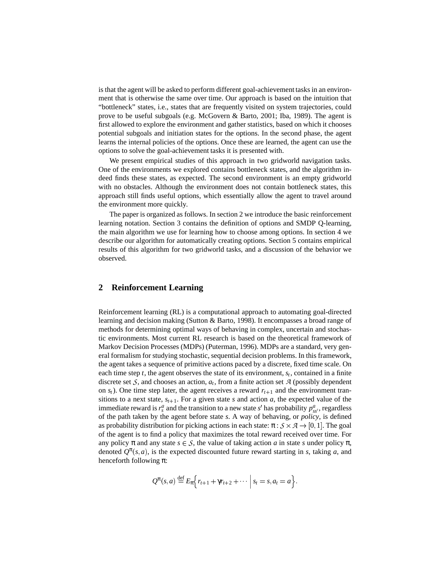is that the agent will be asked to perform different goal-achievement tasksin an environment that is otherwise the same over time. Our approach is based on the intuition that "bottleneck" states, i.e., states that are frequently visited on system trajectories, could prove to be useful subgoals (e.g. McGovern & Barto, 2001; Iba, 1989). The agent is first allowed to explore the environment and gather statistics, based on which it chooses potential subgoals and initiation states for the options. In the second phase, the agent learns the internal policies of the options. Once these are learned, the agent can use the options to solve the goal-achievement tasks it is presented with.

We present empirical studies of this approach in two gridworld navigation tasks. One of the environments we explored contains bottleneck states, and the algorithm indeed finds these states, as expected. The second environment is an empty gridworld with no obstacles. Although the environment does not contain bottleneck states, this approach still finds useful options, which essentially allow the agent to travel around the environment more quickly.

The paper is organized as follows. In section 2 we introduce the basic reinforcement learning notation. Section 3 contains the definition of options and SMDP Q-learning, the main algorithm we use for learning how to choose among options. In section 4 we describe our algorithm for automatically creating options. Section 5 contains empirical results of this algorithm for two gridworld tasks, and a discussion of the behavior we observed.

#### **2 Reinforcement Learning**

Reinforcement learning (RL) is a computational approach to automating goal-directed learning and decision making (Sutton & Barto, 1998). It encompasses a broad range of methods for determining optimal ways of behaving in complex, uncertain and stochastic environments. Most current RL research is based on the theoretical framework of Markov Decision Processes (MDPs) (Puterman, 1996). MDPs are a standard, very general formalism for studying stochastic, sequential decision problems. In this framework, the agent takes a sequence of primitive actions paced by a discrete, fixed time scale. On each time step *t*, the agent observes the state of its environment, *s<sup>t</sup>* , contained in a finite discrete set  $S$ , and chooses an action,  $a_t$ , from a finite action set  $A$  (possibly dependent on  $s_t$ ). One time step later, the agent receives a reward  $r_{t+1}$  and the environment transitions to a next state,  $s_{t+1}$ . For a given state *s* and action *a*, the expected value of the immediate reward is  $r_s^a$  and the transition to a new state *s'* has probability  $p_{ss}^a$ , regardless of the path taken by the agent before state *s*. A way of behaving, or *policy*, is defined as probability distribution for picking actions in each state:  $\pi : \mathcal{S} \times \mathcal{A} \rightarrow [0,1]$ . The goal of the agent is to find a policy that maximizes the total reward received over time. For any policy  $\pi$  and any state  $s \in S$ , the value of taking action *a* in state *s* under policy  $\pi$ , denoted  $Q^{\pi}(s, a)$ , is the expected discounted future reward starting in *s*, taking *a*, and henceforth following  $\pi$ :

$$
Q^{\pi}(s,a) \stackrel{\text{def}}{=} E_{\pi}\Big\{r_{t+1} + \gamma r_{t+2} + \cdots \Big| s_t = s, a_t = a \Big\}.
$$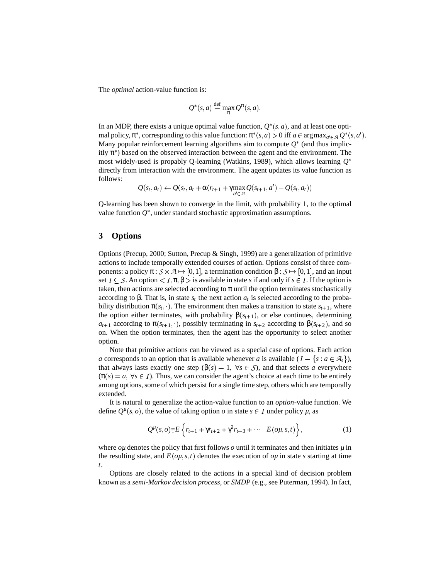The *optimal* action-value function is:

$$
Q^*(s, a) \stackrel{\text{def}}{=} \max_{\pi} Q^{\pi}(s, a).
$$

In an MDP, there exists a unique optimal value function,  $Q^*(s, a)$ , and at least one optimal policy,  $\pi^*$ , corresponding to this value function:  $\pi^*(s, a) > 0$  iff  $a \in \argmax_{a' \in \mathcal{A}} Q^*(s, a')$ . Many popular reinforcement learning algorithms aim to compute  $Q^*$  (and thus implicitly  $\pi^*$ ) based on the observed interaction between the agent and the environment. The most widely-used is propably Q-learning (Watkins, 1989), which allows learning  $Q^*$ directly from interaction with the environment. The agent updates its value function as follows:

$$
Q(s_t, a_t) \leftarrow Q(s_t, a_t + \alpha(r_{t+1} + \gamma \max_{a' \in \mathcal{A}} Q(s_{t+1}, a') - Q(s_t, a_t))
$$

Q-learning has been shown to converge in the limit, with probability 1, to the optimal value function  $Q^*$ , under standard stochastic approximation assumptions.

### **3 Options**

Options (Precup, 2000; Sutton, Precup & Singh, 1999) are a generalization of primitive actions to include temporally extended courses of action. Options consist of three components: a policy  $\pi : \mathcal{S} \times \mathcal{A} \mapsto [0,1]$ , a termination condition  $\beta : \mathcal{S} \mapsto [0,1]$ , and an input set  $I \subseteq S$ . An option  $I, \pi, \beta > i$  is available in state *s* if and only if  $s \in I$ . If the option is taken, then actions are selected according to  $\pi$  until the option terminates stochastically according to β. That is, in state  $s_t$  the next action  $a_t$  is selected according to the probability distribution  $\pi(s_t, \cdot)$ . The environment then makes a transition to state  $s_{t+1}$ , where the option either terminates, with probability  $\beta(s_{t+1})$ , or else continues, determining *a*<sub>*t*+1</sub> according to  $\pi(s_{t+1}, \cdot)$ , possibly terminating in  $s_{t+2}$  according to  $\beta(s_{t+2})$ , and so on. When the option terminates, then the agent has the opportunity to select another option.

Note that primitive actions can be viewed as a special case of options. Each action *a* corresponds to an option that is available whenever *a* is available  $(I = \{s : a \in \mathcal{A}_s\}),$ that always lasts exactly one step ( $\beta(s) = 1$ ,  $\forall s \in S$ ), and that selects *a* everywhere  $(\pi(s) = a, \forall s \in I)$ . Thus, we can consider the agent's choice at each time to be entirely among options, some of which persist for a single time step, others which are temporally extended.

It is natural to generalize the action-value function to an *option*-value function. We define  $Q^{\mu}(s, o)$ , the value of taking option *o* in state  $s \in I$  under policy  $\mu$ , as

$$
Q^{\mu}(s, o) = E\left\{r_{t+1} + \gamma r_{t+2} + \gamma^2 r_{t+3} + \cdots \Big| E(o\mu, s, t)\right\},
$$
 (1)

where  $\omega\mu$  denotes the policy that first follows  $\omega$  until it terminates and then initiates  $\mu$  in the resulting state, and  $E(\rho\mu, s, t)$  denotes the execution of  $\rho\mu$  in state *s* starting at time *t*.

Options are closely related to the actions in a special kind of decision problem known as a *semi-Markov decision process*, or *SMDP* (e.g., see Puterman, 1994). In fact,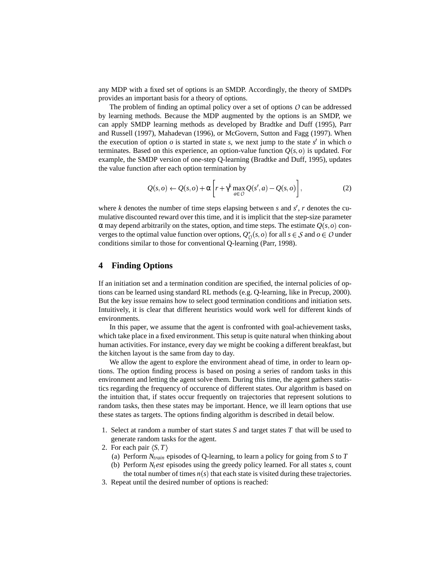any MDP with a fixed set of options is an SMDP. Accordingly, the theory of SMDPs provides an important basis for a theory of options.

The problem of finding an optimal policy over a set of options  $O$  can be addressed by learning methods. Because the MDP augmented by the options is an SMDP, we can apply SMDP learning methods as developed by Bradtke and Duff (1995), Parr and Russell (1997), Mahadevan (1996), or McGovern, Sutton and Fagg (1997). When the execution of option  $\sigma$  is started in state *s*, we next jump to the state  $s'$  in which  $\sigma$ terminates. Based on this experience, an option-value function  $Q(s, o)$  is updated. For example, the SMDP version of one-step Q-learning (Bradtke and Duff, 1995), updates the value function after each option termination by

$$
Q(s, o) \leftarrow Q(s, o) + \alpha \left[ r + \gamma^k \max_{a \in O} Q(s', a) - Q(s, o) \right],
$$
 (2)

where *k* denotes the number of time steps elapsing between *s* and  $s'$ , *r* denotes the cumulative discounted reward over this time, and it is implicit that the step-size parameter  $\alpha$  may depend arbitrarily on the states, option, and time steps. The estimate  $Q(s, o)$  converges to the optimal value function over options,  $Q_O^*(s, o)$  for all  $s \in S$  and  $o \in O$  under conditions similar to those for conventional Q-learning (Parr, 1998).

#### **4 Finding Options**

If an initiation set and a termination condition are specified, the internal policies of options can be learned using standard RL methods (e.g. Q-learning, like in Precup, 2000). But the key issue remains how to select good termination conditions and initiation sets. Intuitively, it is clear that different heuristics would work well for different kinds of environments.

In this paper, we assume that the agent is confronted with goal-achievement tasks, which take place in a fixed environment. This setup is quite natural when thinking about human activities. For instance, every day we might be cooking a different breakfast, but the kitchen layout is the same from day to day.

We allow the agent to explore the environment ahead of time, in order to learn options. The option finding process is based on posing a series of random tasks in this environment and letting the agent solve them. During this time, the agent gathers statistics regarding the frequency of occurence of different states. Our algorithm is based on the intuition that, if states occur frequently on trajectories that represent solutions to random tasks, then these states may be important. Hence, we ill learn options that use these states as targets. The options finding algorithm is described in detail below.

- 1. Select at random a number of start states *S* and target states *T* that will be used to generate random tasks for the agent.
- 2. For each pair  $\langle S, T \rangle$ 
	- (a) Perform *Ntrain* episodes of Q-learning, to learn a policy for going from *S* to *T*
	- (b) Perform  $N_t$ *est* episodes using the greedy policy learned. For all states  $s$ , count the total number of times  $n(s)$  that each state is visited during these trajectories.
- 3. Repeat until the desired number of options is reached: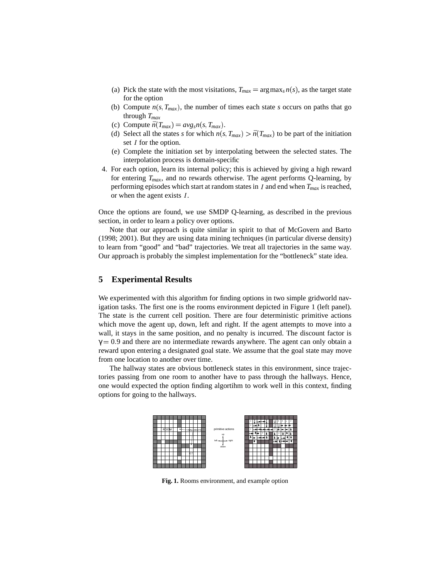- (a) Pick the state with the most visitations,  $T_{max} = \arg \max_s n(s)$ , as the target state for the option
- (b) Compute  $n(s, T_{max})$ , the number of times each state *s* occurs on paths that go through *Tmax*
- (c) Compute  $\bar{n}(T_{max}) = avg_s n(s, T_{max})$ .
- (d) Select all the states *s* for which  $n(s, T_{max}) > \bar{n}(T_{max})$  to be part of the initiation set  $I$  for the option.
- (e) Complete the initiation set by interpolating between the selected states. The interpolation process is domain-specific
- 4. For each option, learn its internal policy; this is achieved by giving a high reward for entering  $T_{max}$ , and no rewards otherwise. The agent performs Q-learning, by performing episodes which start at random states in  $I$  and end when  $T_{max}$  is reached, or when the agent exists  $I$ .

Once the options are found, we use SMDP Q-learning, as described in the previous section, in order to learn a policy over options.

Note that our approach is quite similar in spirit to that of McGovern and Barto (1998; 2001). But they are using data mining techniques (in particular diverse density) to learn from "good" and "bad" trajectories. We treat all trajectories in the same way. Our approach is probably the simplest implementation for the "bottleneck" state idea.

#### **5 Experimental Results**

We experimented with this algorithm for finding options in two simple gridworld navigation tasks. The first one is the rooms environment depicted in Figure 1 (left panel). The state is the current cell position. There are four deterministic primitive actions which move the agent up, down, left and right. If the agent attempts to move into a wall, it stays in the same position, and no penalty is incurred. The discount factor is  $\gamma = 0.9$  and there are no intermediate rewards anywhere. The agent can only obtain a reward upon entering a designated goal state. We assume that the goal state may move from one location to another over time.

The hallway states are obvious bottleneck states in this environment, since trajectories passing from one room to another have to pass through the hallways. Hence, one would expected the option finding algortihm to work well in this context, finding options for going to the hallways.



**Fig. 1.** Rooms environment, and example option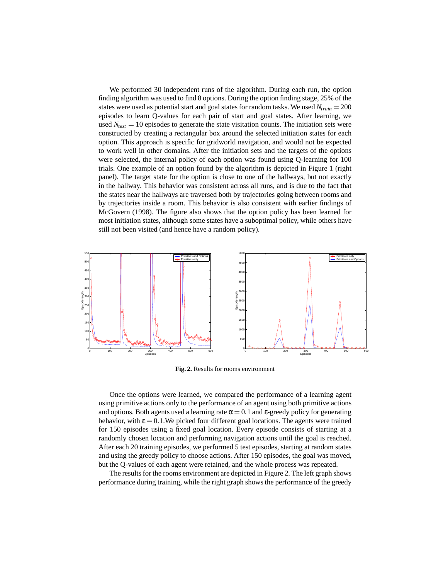We performed 30 independent runs of the algorithm. During each run, the option finding algorithm was used to find 8 options. During the option finding stage, 25% of the states were used as potential start and goal states for random tasks. We used *Ntrain* 200 episodes to learn Q-values for each pair of start and goal states. After learning, we used  $N_{test} = 10$  episodes to generate the state visitation counts. The initiation sets were constructed by creating a rectangular box around the selected initiation states for each option. This approach is specific for gridworld navigation, and would not be expected to work well in other domains. After the initiation sets and the targets of the options were selected, the internal policy of each option was found using Q-learning for 100 trials. One example of an option found by the algorithm is depicted in Figure 1 (right panel). The target state for the option is close to one of the hallways, but not exactly in the hallway. This behavior was consistent across all runs, and is due to the fact that the states near the hallways are traversed both by trajectories going between rooms and by trajectories inside a room. This behavior is also consistent with earlier findings of McGovern (1998). The figure also shows that the option policy has been learned for most initiation states, although some states have a suboptimal policy, while others have still not been visited (and hence have a random policy).



**Fig. 2.** Results for rooms environment

Once the options were learned, we compared the performance of a learning agent using primitive actions only to the performance of an agent using both primitive actions and options. Both agents used a learning rate  $\alpha = 0.1$  and  $\varepsilon$ -greedy policy for generating behavior, with  $\epsilon = 0.1$ . We picked four different goal locations. The agents were trained for 150 episodes using a fixed goal location. Every episode consists of starting at a randomly chosen location and performing navigation actions until the goal is reached. After each 20 training episodes, we performed 5 test episodes, starting at random states and using the greedy policy to choose actions. After 150 episodes, the goal was moved, but the Q-values of each agent were retained, and the whole process was repeated.

The results for the rooms environment are depicted in Figure 2. The left graph shows performance during training, while the right graph shows the performance of the greedy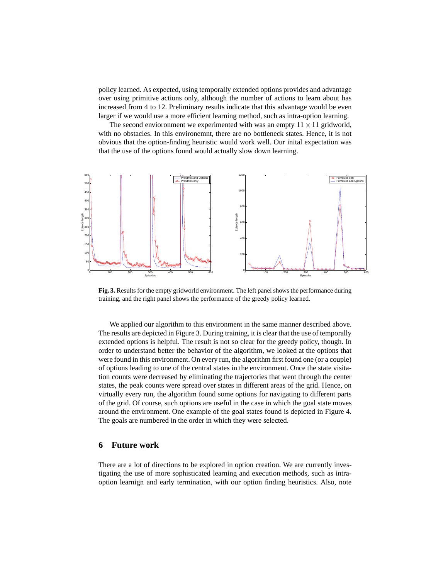policy learned. As expected, using temporally extended options provides and advantage over using primitive actions only, although the number of actions to learn about has increased from 4 to 12. Preliminary results indicate that this advantage would be even larger if we would use a more efficient learning method, such as intra-option learning.

The second envioronment we experimented with was an empty  $11 \times 11$  gridworld, with no obstacles. In this environemnt, there are no bottleneck states. Hence, it is not obvious that the option-finding heuristic would work well. Our inital expectation was that the use of the options found would actually slow down learning.



**Fig. 3.** Results for the empty gridworld environment. The left panel shows the performance during training, and the right panel shows the performance of the greedy policy learned.

We applied our algorithm to this environment in the same manner described above. The results are depicted in Figure 3. During training, it is clear that the use of temporally extended options is helpful. The result is not so clear for the greedy policy, though. In order to understand better the behavior of the algorithm, we looked at the options that were found in this environment. On every run, the algorithm first found one (or a couple) of options leading to one of the central states in the environment. Once the state visitation counts were decreased by eliminating the trajectories that went through the center states, the peak counts were spread over states in different areas of the grid. Hence, on virtually every run, the algorithm found some options for navigating to different parts of the grid. Of course, such options are useful in the case in which the goal state moves around the environment. One example of the goal states found is depicted in Figure 4. The goals are numbered in the order in which they were selected.

#### **6 Future work**

There are a lot of directions to be explored in option creation. We are currently investigating the use of more sophisticated learning and execution methods, such as intraoption learnign and early termination, with our option finding heuristics. Also, note